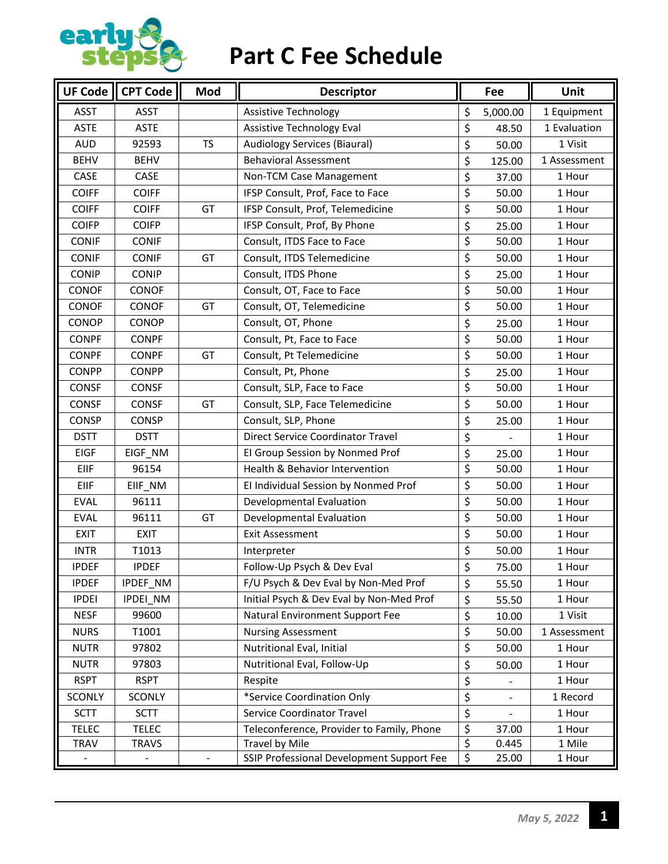

### **Part C Fee Schedule**

| $\sqrt{\overline{\text{U}}\text{F}}$ Code | CPT Code      | Mod       | <b>Descriptor</b>                         |                                 | Fee      | Unit         |
|-------------------------------------------|---------------|-----------|-------------------------------------------|---------------------------------|----------|--------------|
| <b>ASST</b>                               | <b>ASST</b>   |           | <b>Assistive Technology</b>               | \$                              | 5,000.00 | 1 Equipment  |
| <b>ASTE</b>                               | <b>ASTE</b>   |           | Assistive Technology Eval                 | \$                              | 48.50    | 1 Evaluation |
| <b>AUD</b>                                | 92593         | <b>TS</b> | <b>Audiology Services (Biaural)</b>       | \$                              | 50.00    | 1 Visit      |
| <b>BEHV</b>                               | <b>BEHV</b>   |           | <b>Behavioral Assessment</b>              | \$                              | 125.00   | 1 Assessment |
| CASE                                      | CASE          |           | Non-TCM Case Management                   | \$                              | 37.00    | 1 Hour       |
| <b>COIFF</b>                              | <b>COIFF</b>  |           | IFSP Consult, Prof, Face to Face          | \$                              | 50.00    | 1 Hour       |
| <b>COIFF</b>                              | <b>COIFF</b>  | GT        | IFSP Consult, Prof, Telemedicine          | \$                              | 50.00    | 1 Hour       |
| <b>COIFP</b>                              | <b>COIFP</b>  |           | IFSP Consult, Prof, By Phone              | \$                              | 25.00    | 1 Hour       |
| <b>CONIF</b>                              | <b>CONIF</b>  |           | Consult, ITDS Face to Face                | \$                              | 50.00    | 1 Hour       |
| <b>CONIF</b>                              | <b>CONIF</b>  | GT        | Consult, ITDS Telemedicine                | \$                              | 50.00    | 1 Hour       |
| CONIP                                     | <b>CONIP</b>  |           | Consult, ITDS Phone                       | \$                              | 25.00    | 1 Hour       |
| CONOF                                     | CONOF         |           | Consult, OT, Face to Face                 | \$                              | 50.00    | 1 Hour       |
| CONOF                                     | CONOF         | GT        | Consult, OT, Telemedicine                 | \$                              | 50.00    | 1 Hour       |
| CONOP                                     | CONOP         |           | Consult, OT, Phone                        | \$                              | 25.00    | 1 Hour       |
| <b>CONPF</b>                              | <b>CONPF</b>  |           | Consult, Pt, Face to Face                 | \$                              | 50.00    | 1 Hour       |
| <b>CONPF</b>                              | <b>CONPF</b>  | GT        | Consult, Pt Telemedicine                  | \$                              | 50.00    | 1 Hour       |
| <b>CONPP</b>                              | <b>CONPP</b>  |           | Consult, Pt, Phone                        | \$                              | 25.00    | 1 Hour       |
| CONSF                                     | <b>CONSF</b>  |           | Consult, SLP, Face to Face                | $\overline{\boldsymbol{\zeta}}$ | 50.00    | 1 Hour       |
| CONSF                                     | <b>CONSF</b>  | GT        | Consult, SLP, Face Telemedicine           | \$                              | 50.00    | 1 Hour       |
| <b>CONSP</b>                              | CONSP         |           | Consult, SLP, Phone                       | \$                              | 25.00    | 1 Hour       |
| <b>DSTT</b>                               | <b>DSTT</b>   |           | Direct Service Coordinator Travel         | \$                              |          | 1 Hour       |
| <b>EIGF</b>                               | EIGF_NM       |           | El Group Session by Nonmed Prof           | \$                              | 25.00    | 1 Hour       |
| EIIF                                      | 96154         |           | Health & Behavior Intervention            | \$                              | 50.00    | 1 Hour       |
| EIIF                                      | EIIF_NM       |           | El Individual Session by Nonmed Prof      | \$                              | 50.00    | 1 Hour       |
| <b>EVAL</b>                               | 96111         |           | Developmental Evaluation                  | \$                              | 50.00    | 1 Hour       |
| <b>EVAL</b>                               | 96111         | GT        | Developmental Evaluation                  | \$                              | 50.00    | 1 Hour       |
| <b>EXIT</b>                               | <b>EXIT</b>   |           | <b>Exit Assessment</b>                    | \$                              | 50.00    | 1 Hour       |
| <b>INTR</b>                               | T1013         |           | Interpreter                               | \$                              | 50.00    | 1 Hour       |
| <b>IPDEF</b>                              | <b>IPDEF</b>  |           | Follow-Up Psych & Dev Eval                | ς                               | 75.00    | 1 Hour       |
| <b>IPDEF</b>                              | IPDEF_NM      |           | F/U Psych & Dev Eval by Non-Med Prof      | \$                              | 55.50    | 1 Hour       |
| <b>IPDEI</b>                              | IPDEI_NM      |           | Initial Psych & Dev Eval by Non-Med Prof  | \$                              | 55.50    | 1 Hour       |
| <b>NESF</b>                               | 99600         |           | Natural Environment Support Fee           | \$                              | 10.00    | 1 Visit      |
| <b>NURS</b>                               | T1001         |           | <b>Nursing Assessment</b>                 | \$                              | 50.00    | 1 Assessment |
| <b>NUTR</b>                               | 97802         |           | Nutritional Eval, Initial                 | \$                              | 50.00    | 1 Hour       |
| <b>NUTR</b>                               | 97803         |           | Nutritional Eval, Follow-Up               | \$                              | 50.00    | 1 Hour       |
| <b>RSPT</b>                               | <b>RSPT</b>   |           | Respite                                   | \$                              |          | 1 Hour       |
| <b>SCONLY</b>                             | <b>SCONLY</b> |           | *Service Coordination Only                | \$                              |          | 1 Record     |
| <b>SCTT</b>                               | <b>SCTT</b>   |           | Service Coordinator Travel                | \$                              |          | 1 Hour       |
| <b>TELEC</b>                              | <b>TELEC</b>  |           | Teleconference, Provider to Family, Phone | \$                              | 37.00    | 1 Hour       |
| TRAV                                      | <b>TRAVS</b>  |           | Travel by Mile                            | \$                              | 0.445    | 1 Mile       |
|                                           |               |           | SSIP Professional Development Support Fee | \$                              | 25.00    | 1 Hour       |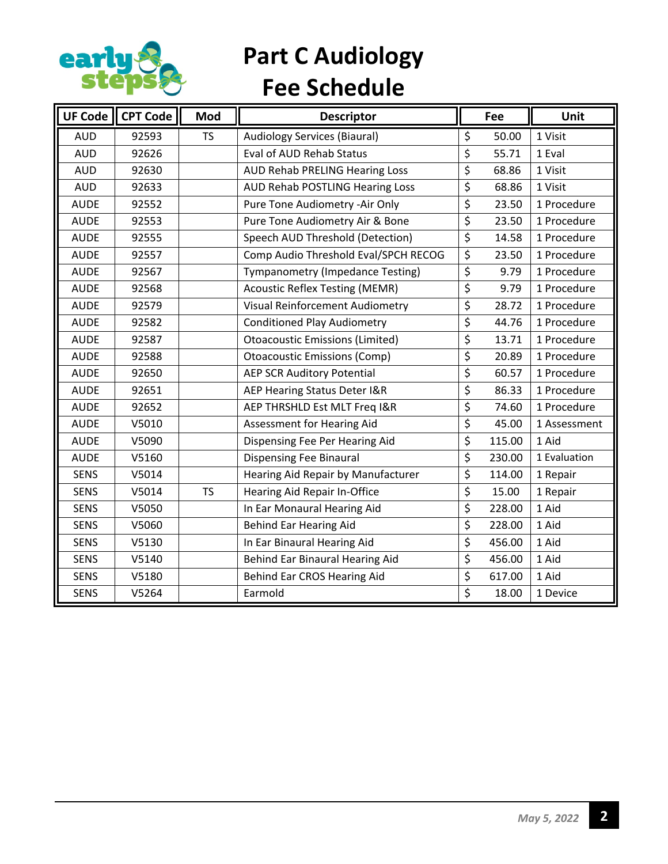

### **Part C Audiology Fee Schedule**

| <b>UF Code</b> | <b>CPT Code</b> | Mod       | <b>Descriptor</b>                      |                                     | Fee    | Unit         |
|----------------|-----------------|-----------|----------------------------------------|-------------------------------------|--------|--------------|
| <b>AUD</b>     | 92593           | <b>TS</b> | <b>Audiology Services (Biaural)</b>    | \$                                  | 50.00  | 1 Visit      |
| <b>AUD</b>     | 92626           |           | Eval of AUD Rehab Status               | \$                                  | 55.71  | 1 Eval       |
| <b>AUD</b>     | 92630           |           | AUD Rehab PRELING Hearing Loss         | \$                                  | 68.86  | 1 Visit      |
| <b>AUD</b>     | 92633           |           | AUD Rehab POSTLING Hearing Loss        | \$                                  | 68.86  | 1 Visit      |
| <b>AUDE</b>    | 92552           |           | Pure Tone Audiometry -Air Only         | \$                                  | 23.50  | 1 Procedure  |
| <b>AUDE</b>    | 92553           |           | Pure Tone Audiometry Air & Bone        | \$                                  | 23.50  | 1 Procedure  |
| <b>AUDE</b>    | 92555           |           | Speech AUD Threshold (Detection)       | \$                                  | 14.58  | 1 Procedure  |
| <b>AUDE</b>    | 92557           |           | Comp Audio Threshold Eval/SPCH RECOG   | \$                                  | 23.50  | 1 Procedure  |
| <b>AUDE</b>    | 92567           |           | Tympanometry (Impedance Testing)       | \$                                  | 9.79   | 1 Procedure  |
| <b>AUDE</b>    | 92568           |           | <b>Acoustic Reflex Testing (MEMR)</b>  | \$                                  | 9.79   | 1 Procedure  |
| <b>AUDE</b>    | 92579           |           | <b>Visual Reinforcement Audiometry</b> | $\overline{\boldsymbol{\zeta}}$     | 28.72  | 1 Procedure  |
| <b>AUDE</b>    | 92582           |           | <b>Conditioned Play Audiometry</b>     | \$                                  | 44.76  | 1 Procedure  |
| <b>AUDE</b>    | 92587           |           | <b>Otoacoustic Emissions (Limited)</b> | \$                                  | 13.71  | 1 Procedure  |
| <b>AUDE</b>    | 92588           |           | <b>Otoacoustic Emissions (Comp)</b>    | \$                                  | 20.89  | 1 Procedure  |
| <b>AUDE</b>    | 92650           |           | <b>AEP SCR Auditory Potential</b>      | \$                                  | 60.57  | 1 Procedure  |
| <b>AUDE</b>    | 92651           |           | AEP Hearing Status Deter I&R           | $\overline{\boldsymbol{\varsigma}}$ | 86.33  | 1 Procedure  |
| <b>AUDE</b>    | 92652           |           | AEP THRSHLD Est MLT Freq I&R           | \$                                  | 74.60  | 1 Procedure  |
| <b>AUDE</b>    | V5010           |           | Assessment for Hearing Aid             | \$                                  | 45.00  | 1 Assessment |
| <b>AUDE</b>    | V5090           |           | Dispensing Fee Per Hearing Aid         | \$                                  | 115.00 | 1 Aid        |
| <b>AUDE</b>    | V5160           |           | <b>Dispensing Fee Binaural</b>         | \$                                  | 230.00 | 1 Evaluation |
| <b>SENS</b>    | V5014           |           | Hearing Aid Repair by Manufacturer     | \$                                  | 114.00 | 1 Repair     |
| <b>SENS</b>    | V5014           | <b>TS</b> | Hearing Aid Repair In-Office           | \$                                  | 15.00  | 1 Repair     |
| <b>SENS</b>    | V5050           |           | In Ear Monaural Hearing Aid            | \$                                  | 228.00 | 1 Aid        |
| <b>SENS</b>    | V5060           |           | <b>Behind Ear Hearing Aid</b>          | \$                                  | 228.00 | 1 Aid        |
| <b>SENS</b>    | V5130           |           | In Ear Binaural Hearing Aid            | \$                                  | 456.00 | 1 Aid        |
| <b>SENS</b>    | V5140           |           | Behind Ear Binaural Hearing Aid        | \$                                  | 456.00 | 1 Aid        |
| <b>SENS</b>    | V5180           |           | Behind Ear CROS Hearing Aid            | \$                                  | 617.00 | 1 Aid        |
| <b>SENS</b>    | V5264           |           | Earmold                                | \$                                  | 18.00  | 1 Device     |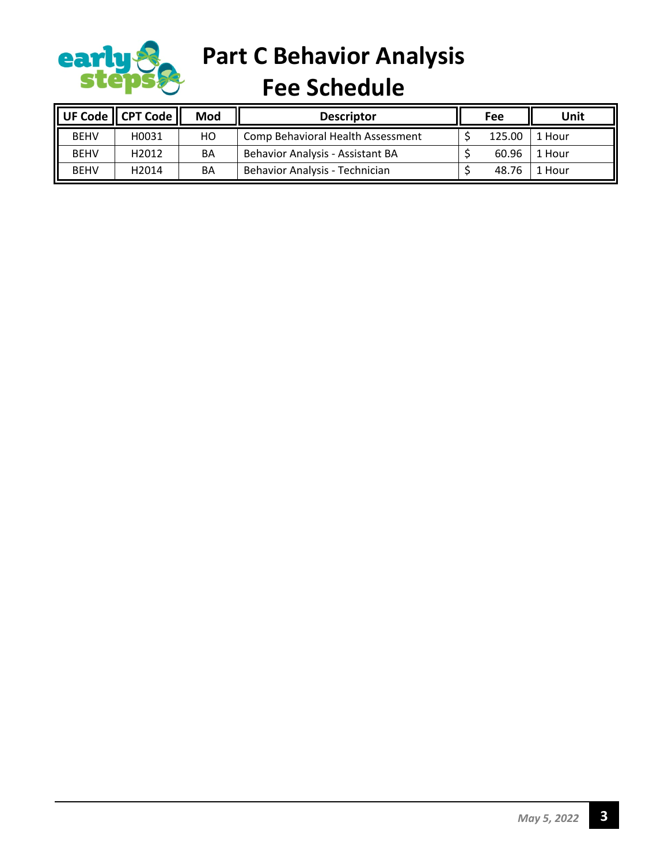

**Part C Behavior Analysis** 

**Fee Schedule**

|             | UF Code $\parallel$ CPT Code $\parallel$ | Mod | <b>Descriptor</b>                 | Fee |        | Unit   |
|-------------|------------------------------------------|-----|-----------------------------------|-----|--------|--------|
| <b>BEHV</b> | H0031                                    | HО  | Comp Behavioral Health Assessment |     | 125.00 | 1 Hour |
| <b>BEHV</b> | H <sub>2012</sub>                        | BA  | Behavior Analysis - Assistant BA  |     | 60.96  | 1 Hour |
| <b>BEHV</b> | H <sub>2014</sub>                        | BA  | Behavior Analysis - Technician    |     | 48.76  | 1 Hour |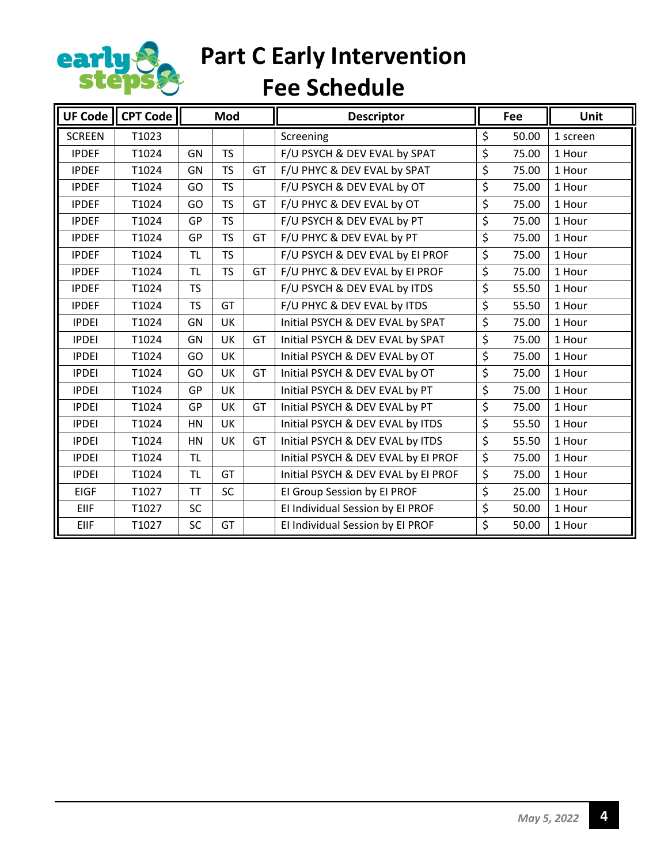

**Part C Early Intervention**

**Fee Schedule**

|               | UF Code $\parallel$ CPT Code |           | Mod       |    | <b>Descriptor</b>                   | Fee         | Unit     |
|---------------|------------------------------|-----------|-----------|----|-------------------------------------|-------------|----------|
| <b>SCREEN</b> | T1023                        |           |           |    | Screening                           | \$<br>50.00 | 1 screen |
| <b>IPDEF</b>  | T1024                        | GN        | <b>TS</b> |    | F/U PSYCH & DEV EVAL by SPAT        | \$<br>75.00 | 1 Hour   |
| <b>IPDEF</b>  | T1024                        | GN        | <b>TS</b> | GT | F/U PHYC & DEV EVAL by SPAT         | \$<br>75.00 | 1 Hour   |
| <b>IPDEF</b>  | T1024                        | GO        | <b>TS</b> |    | F/U PSYCH & DEV EVAL by OT          | \$<br>75.00 | 1 Hour   |
| <b>IPDEF</b>  | T1024                        | GO        | <b>TS</b> | GT | F/U PHYC & DEV EVAL by OT           | \$<br>75.00 | 1 Hour   |
| <b>IPDEF</b>  | T1024                        | GP        | <b>TS</b> |    | F/U PSYCH & DEV EVAL by PT          | \$<br>75.00 | 1 Hour   |
| <b>IPDEF</b>  | T1024                        | GP        | <b>TS</b> | GT | F/U PHYC & DEV EVAL by PT           | \$<br>75.00 | 1 Hour   |
| <b>IPDEF</b>  | T1024                        | <b>TL</b> | <b>TS</b> |    | F/U PSYCH & DEV EVAL by EI PROF     | \$<br>75.00 | 1 Hour   |
| <b>IPDEF</b>  | T1024                        | TL        | <b>TS</b> | GT | F/U PHYC & DEV EVAL by EI PROF      | \$<br>75.00 | 1 Hour   |
| <b>IPDEF</b>  | T1024                        | <b>TS</b> |           |    | F/U PSYCH & DEV EVAL by ITDS        | \$<br>55.50 | 1 Hour   |
| <b>IPDEF</b>  | T1024                        | <b>TS</b> | GT        |    | F/U PHYC & DEV EVAL by ITDS         | \$<br>55.50 | 1 Hour   |
| <b>IPDEI</b>  | T1024                        | GN        | <b>UK</b> |    | Initial PSYCH & DEV EVAL by SPAT    | \$<br>75.00 | 1 Hour   |
| <b>IPDEI</b>  | T1024                        | GN        | UK        | GT | Initial PSYCH & DEV EVAL by SPAT    | \$<br>75.00 | 1 Hour   |
| <b>IPDEI</b>  | T1024                        | GO        | UK        |    | Initial PSYCH & DEV EVAL by OT      | \$<br>75.00 | 1 Hour   |
| <b>IPDEI</b>  | T1024                        | GO        | UK        | GT | Initial PSYCH & DEV EVAL by OT      | \$<br>75.00 | 1 Hour   |
| <b>IPDEI</b>  | T1024                        | GP        | UK        |    | Initial PSYCH & DEV EVAL by PT      | \$<br>75.00 | 1 Hour   |
| <b>IPDEI</b>  | T1024                        | GP        | UK        | GT | Initial PSYCH & DEV EVAL by PT      | \$<br>75.00 | 1 Hour   |
| <b>IPDEI</b>  | T1024                        | HN        | UK        |    | Initial PSYCH & DEV EVAL by ITDS    | \$<br>55.50 | 1 Hour   |
| <b>IPDEI</b>  | T1024                        | HN        | UK        | GT | Initial PSYCH & DEV EVAL by ITDS    | \$<br>55.50 | 1 Hour   |
| <b>IPDEI</b>  | T1024                        | <b>TL</b> |           |    | Initial PSYCH & DEV EVAL by EI PROF | \$<br>75.00 | 1 Hour   |
| <b>IPDEI</b>  | T1024                        | <b>TL</b> | GT        |    | Initial PSYCH & DEV EVAL by EI PROF | \$<br>75.00 | 1 Hour   |
| <b>EIGF</b>   | T1027                        | <b>TT</b> | SC        |    | El Group Session by El PROF         | \$<br>25.00 | 1 Hour   |
| <b>EIIF</b>   | T1027                        | <b>SC</b> |           |    | El Individual Session by El PROF    | \$<br>50.00 | 1 Hour   |
| EIIF          | T1027                        | <b>SC</b> | GT        |    | El Individual Session by El PROF    | \$<br>50.00 | 1 Hour   |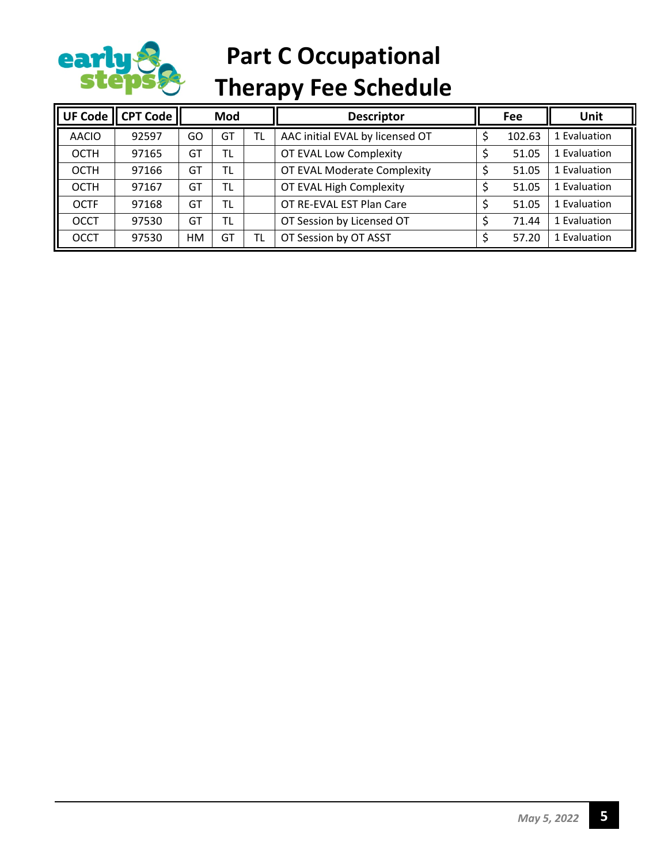

## **Part C Occupational Therapy Fee Schedule**

| UF Code      | CPT Code | Mod       |           |           | <b>Descriptor</b>               | Fee    | Unit         |
|--------------|----------|-----------|-----------|-----------|---------------------------------|--------|--------------|
| <b>AACIO</b> | 92597    | GO        | GT        | <b>TL</b> | AAC initial EVAL by licensed OT | 102.63 | 1 Evaluation |
| <b>OCTH</b>  | 97165    | GT        | <b>TL</b> |           | OT EVAL Low Complexity          | 51.05  | 1 Evaluation |
| <b>OCTH</b>  | 97166    | GT        | TL        |           | OT EVAL Moderate Complexity     | 51.05  | 1 Evaluation |
| <b>OCTH</b>  | 97167    | GT        | TL        |           | OT EVAL High Complexity         | 51.05  | 1 Evaluation |
| <b>OCTF</b>  | 97168    | GT        | TL        |           | OT RE-EVAL EST Plan Care        | 51.05  | 1 Evaluation |
| <b>OCCT</b>  | 97530    | GT        | <b>TL</b> |           | OT Session by Licensed OT       | 71.44  | 1 Evaluation |
| <b>OCCT</b>  | 97530    | <b>HM</b> | GT        | TL        | OT Session by OT ASST           | 57.20  | 1 Evaluation |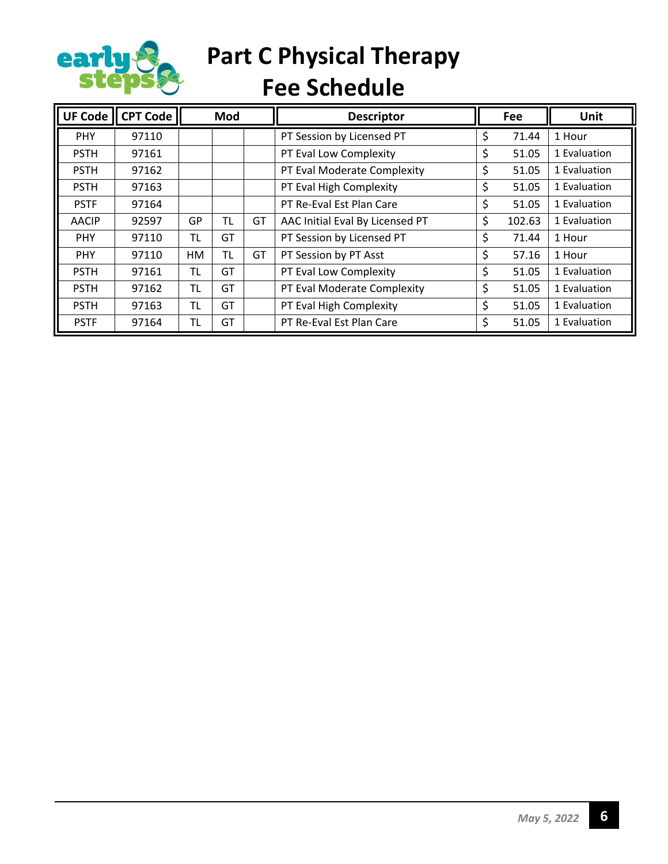

# **Part C Physical Therapy**

**Fee Schedule**

| <b>UF Code</b> | <b>CPT Code</b> |           | Mod       |    | <b>Descriptor</b>               |    | Fee    | <b>Unit</b>  |
|----------------|-----------------|-----------|-----------|----|---------------------------------|----|--------|--------------|
| <b>PHY</b>     | 97110           |           |           |    | PT Session by Licensed PT       | S  | 71.44  | 1 Hour       |
| <b>PSTH</b>    | 97161           |           |           |    | PT Eval Low Complexity          | \$ | 51.05  | 1 Evaluation |
| <b>PSTH</b>    | 97162           |           |           |    | PT Eval Moderate Complexity     | \$ | 51.05  | 1 Evaluation |
| <b>PSTH</b>    | 97163           |           |           |    | PT Eval High Complexity         | \$ | 51.05  | 1 Evaluation |
| <b>PSTF</b>    | 97164           |           |           |    | PT Re-Eval Est Plan Care        | \$ | 51.05  | 1 Evaluation |
| <b>AACIP</b>   | 92597           | GP        | <b>TL</b> | GT | AAC Initial Eval By Licensed PT | \$ | 102.63 | 1 Evaluation |
| <b>PHY</b>     | 97110           | TL        | GT        |    | PT Session by Licensed PT       | \$ | 71.44  | 1 Hour       |
| <b>PHY</b>     | 97110           | <b>HM</b> | <b>TL</b> | GT | PT Session by PT Asst           | \$ | 57.16  | 1 Hour       |
| <b>PSTH</b>    | 97161           | TL        | GT        |    | PT Eval Low Complexity          | \$ | 51.05  | 1 Evaluation |
| <b>PSTH</b>    | 97162           | TL        | GT        |    | PT Eval Moderate Complexity     | \$ | 51.05  | 1 Evaluation |
| <b>PSTH</b>    | 97163           | TL        | GT        |    | PT Eval High Complexity         | \$ | 51.05  | 1 Evaluation |
| <b>PSTF</b>    | 97164           | TL        | GT        |    | PT Re-Eval Est Plan Care        | \$ | 51.05  | 1 Evaluation |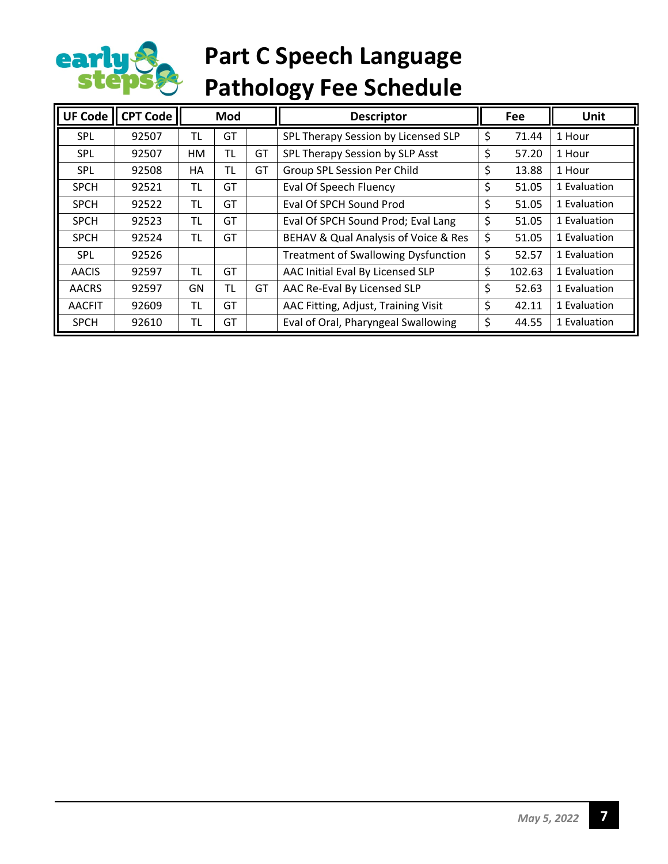

## **Part C Speech Language Pathology Fee Schedule**

| UF Code       | <b>CPT Code</b> |           | Mod       |    | <b>Descriptor</b>                          | Fee          | Unit         |
|---------------|-----------------|-----------|-----------|----|--------------------------------------------|--------------|--------------|
| SPL           | 92507           | TL        | GT        |    | SPL Therapy Session by Licensed SLP        | \$<br>71.44  | 1 Hour       |
| <b>SPL</b>    | 92507           | HM        | TL        | GT | SPL Therapy Session by SLP Asst            | \$<br>57.20  | 1 Hour       |
| <b>SPL</b>    | 92508           | HA        | <b>TL</b> | GT | Group SPL Session Per Child                | \$<br>13.88  | 1 Hour       |
| <b>SPCH</b>   | 92521           | TL        | GT        |    | Eval Of Speech Fluency                     | \$<br>51.05  | 1 Evaluation |
| <b>SPCH</b>   | 92522           | TL        | GT        |    | Eval Of SPCH Sound Prod                    | \$<br>51.05  | 1 Evaluation |
| <b>SPCH</b>   | 92523           | TL        | GT        |    | Eval Of SPCH Sound Prod; Eval Lang         | \$<br>51.05  | 1 Evaluation |
| <b>SPCH</b>   | 92524           | <b>TL</b> | GT        |    | BEHAV & Qual Analysis of Voice & Res       | \$<br>51.05  | 1 Evaluation |
| <b>SPL</b>    | 92526           |           |           |    | <b>Treatment of Swallowing Dysfunction</b> | \$<br>52.57  | 1 Evaluation |
| <b>AACIS</b>  | 92597           | <b>TL</b> | GT        |    | AAC Initial Eval By Licensed SLP           | \$<br>102.63 | 1 Evaluation |
| <b>AACRS</b>  | 92597           | GN        | <b>TL</b> | GT | AAC Re-Eval By Licensed SLP                | \$<br>52.63  | 1 Evaluation |
| <b>AACFIT</b> | 92609           | TL        | GT        |    | AAC Fitting, Adjust, Training Visit        | \$<br>42.11  | 1 Evaluation |
| <b>SPCH</b>   | 92610           | TL        | GT        |    | Eval of Oral, Pharyngeal Swallowing        | \$<br>44.55  | 1 Evaluation |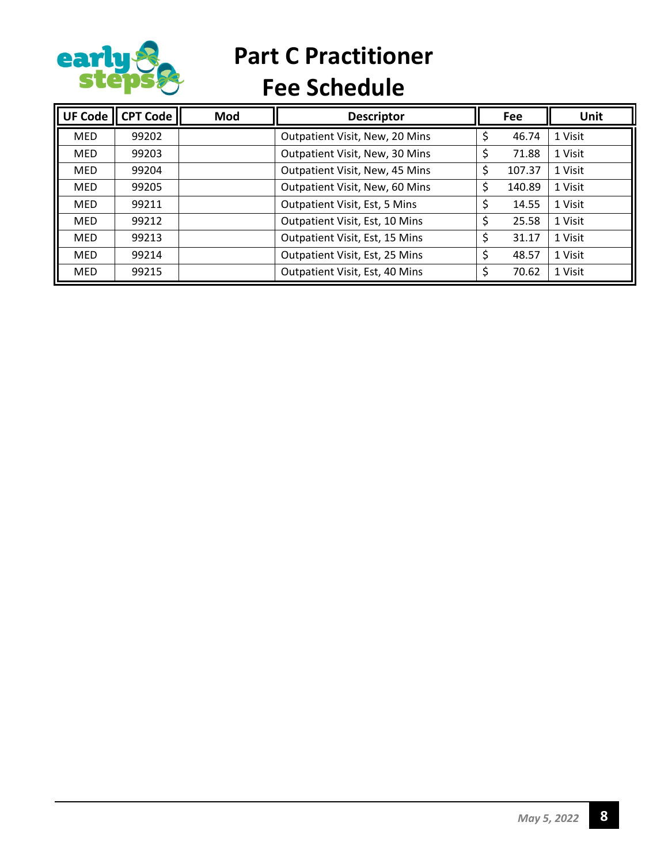

**Part C Practitioner**

**Fee Schedule**

| UF Code    | <b>CPT Code</b> | Mod | <b>Descriptor</b>              |    | Fee    | <b>Unit</b> |
|------------|-----------------|-----|--------------------------------|----|--------|-------------|
| <b>MED</b> | 99202           |     | Outpatient Visit, New, 20 Mins |    | 46.74  | 1 Visit     |
| <b>MED</b> | 99203           |     | Outpatient Visit, New, 30 Mins |    | 71.88  | 1 Visit     |
| <b>MED</b> | 99204           |     | Outpatient Visit, New, 45 Mins |    | 107.37 | 1 Visit     |
| <b>MED</b> | 99205           |     | Outpatient Visit, New, 60 Mins |    | 140.89 | 1 Visit     |
| <b>MED</b> | 99211           |     | Outpatient Visit, Est, 5 Mins  |    | 14.55  | 1 Visit     |
| <b>MED</b> | 99212           |     | Outpatient Visit, Est, 10 Mins | \$ | 25.58  | 1 Visit     |
| <b>MED</b> | 99213           |     | Outpatient Visit, Est, 15 Mins | \$ | 31.17  | 1 Visit     |
| <b>MED</b> | 99214           |     | Outpatient Visit, Est, 25 Mins | Ś  | 48.57  | 1 Visit     |
| <b>MED</b> | 99215           |     | Outpatient Visit, Est, 40 Mins |    | 70.62  | 1 Visit     |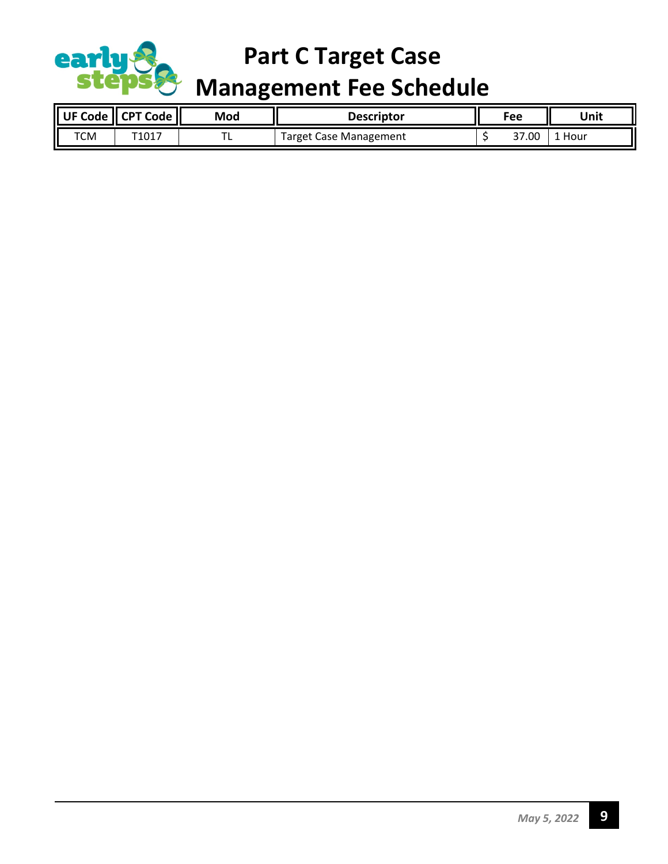

### **Part C Target Case**

#### **Management Fee Schedule**

| <b>UF Code</b> | <b>CPT Code</b> | Mod | Descriptor                  | Fee |       | Unit |
|----------------|-----------------|-----|-----------------------------|-----|-------|------|
| тсм            | T1017           | . . | . Case Management<br>Target |     | 37.00 | Hour |